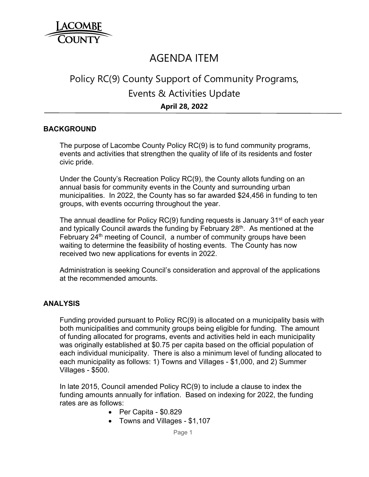

# AGENDA ITEM

# Policy RC(9) County Support of Community Programs, Events & Activities Update **April 28, 2022**

### **BACKGROUND**

The purpose of Lacombe County Policy RC(9) is to fund community programs, events and activities that strengthen the quality of life of its residents and foster civic pride.

Under the County's Recreation Policy RC(9), the County allots funding on an annual basis for community events in the County and surrounding urban municipalities. In 2022, the County has so far awarded \$24,456 in funding to ten groups, with events occurring throughout the year.

The annual deadline for Policy RC(9) funding requests is January 31<sup>st</sup> of each year and typically Council awards the funding by February 28<sup>th</sup>. As mentioned at the February 24<sup>th</sup> meeting of Council, a number of community groups have been waiting to determine the feasibility of hosting events. The County has now received two new applications for events in 2022.

Administration is seeking Council's consideration and approval of the applications at the recommended amounts.

#### **ANALYSIS**

Funding provided pursuant to Policy RC(9) is allocated on a municipality basis with both municipalities and community groups being eligible for funding. The amount of funding allocated for programs, events and activities held in each municipality was originally established at \$0.75 per capita based on the official population of each individual municipality. There is also a minimum level of funding allocated to each municipality as follows: 1) Towns and Villages - \$1,000, and 2) Summer Villages - \$500.

In late 2015, Council amended Policy RC(9) to include a clause to index the funding amounts annually for inflation. Based on indexing for 2022, the funding rates are as follows:

- $\bullet$  Per Capita \$0.829
- Towns and Villages \$1,107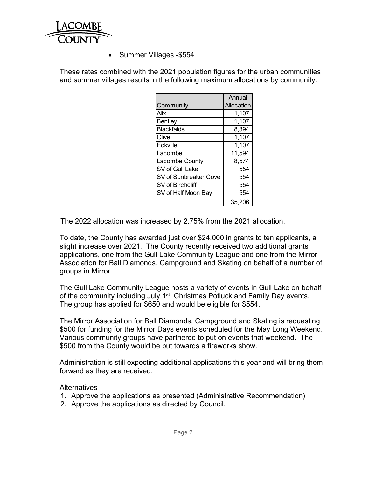

• Summer Villages - \$554

These rates combined with the 2021 population figures for the urban communities and summer villages results in the following maximum allocations by community:

|                       | Annual     |
|-----------------------|------------|
| Community             | Allocation |
| Alix                  | 1,107      |
| <b>Bentley</b>        | 1,107      |
| <b>Blackfalds</b>     | 8,394      |
| Clive                 | 1,107      |
| Eckville              | 1,107      |
| Lacombe               | 11,594     |
| Lacombe County        | 8,574      |
| SV of Gull Lake       | 554        |
| SV of Sunbreaker Cove | 554        |
| SV of Birchcliff      | 554        |
| SV of Half Moon Bay   | 554        |
|                       | 35,206     |

The 2022 allocation was increased by 2.75% from the 2021 allocation.

To date, the County has awarded just over \$24,000 in grants to ten applicants, a slight increase over 2021. The County recently received two additional grants applications, one from the Gull Lake Community League and one from the Mirror Association for Ball Diamonds, Campground and Skating on behalf of a number of groups in Mirror.

The Gull Lake Community League hosts a variety of events in Gull Lake on behalf of the community including July 1<sup>st</sup>, Christmas Potluck and Family Day events. The group has applied for \$650 and would be eligible for \$554.

The Mirror Association for Ball Diamonds, Campground and Skating is requesting \$500 for funding for the Mirror Days events scheduled for the May Long Weekend. Various community groups have partnered to put on events that weekend. The \$500 from the County would be put towards a fireworks show.

Administration is still expecting additional applications this year and will bring them forward as they are received.

### **Alternatives**

- 1. Approve the applications as presented (Administrative Recommendation)
- 2. Approve the applications as directed by Council.